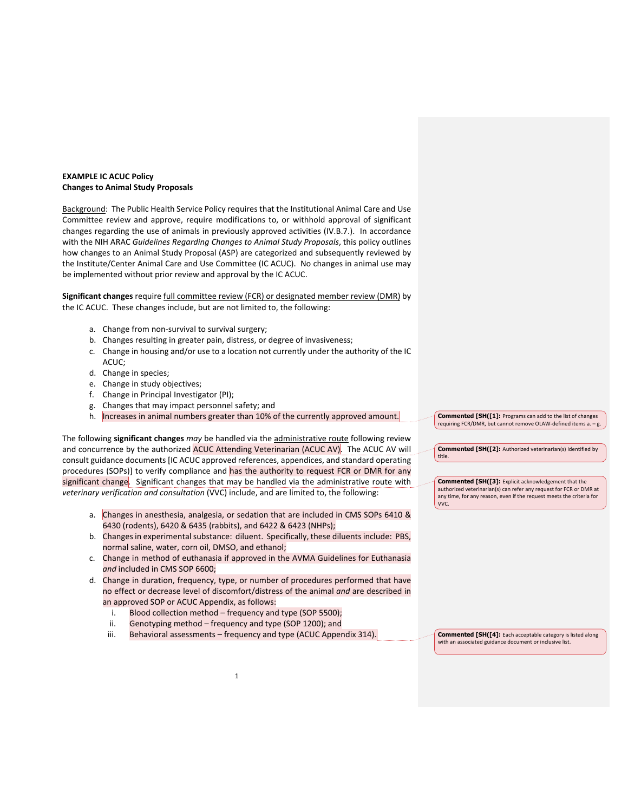## **EXAMPLE IC ACUC Policy Changes to Animal Study Proposals**

Background: The Public Health Service Policy requires that the Institutional Animal Care and Use Committee review and approve, require modifications to, or withhold approval of significant changes regarding the use of animals in previously approved activities (IV.B.7.). In accordance with the NIH ARAC *Guidelines Regarding Changes to Animal Study Proposals*, this policy outlines how changes to an Animal Study Proposal (ASP) are categorized and subsequently reviewed by the Institute/Center Animal Care and Use Committee (IC ACUC). No changes in animal use may be implemented without prior review and approval by the IC ACUC.

**Significant changes** require full committee review (FCR) or designated member review (DMR) by the IC ACUC. These changes include, but are not limited to, the following:

- a. Change from non-survival to survival surgery;
- b. Changes resulting in greater pain, distress, or degree of invasiveness;
- c. Change in housing and/or use to a location not currently under the authority of the IC ACUC;
- d. Change in species;
- e. Change in study objectives;
- f. Change in Principal Investigator (PI);
- g. Changes that may impact personnel safety; and
- h. Increases in animal numbers greater than 10% of the currently approved amount.

The following **significant changes** *may* be handled via the administrative route following review and concurrence by the authorized ACUC Attending Veterinarian (ACUC AV). The ACUC AV will consult guidance documents [IC ACUC approved references, appendices, and standard operating procedures (SOPs)] to verify compliance and has the authority to request FCR or DMR for any significant change. Significant changes that may be handled via the administrative route with *veterinary verification and consultation* (VVC) include, and are limited to, the following:

- a. Changes in anesthesia, analgesia, or sedation that are included in CMS SOPs 6410 & 6430 (rodents), 6420 & 6435 (rabbits), and 6422 & 6423 (NHPs);
- b. Changes in experimental substance: diluent. Specifically, these diluents include: PBS, normal saline, water, corn oil, DMSO, and ethanol;
- c. Change in method of euthanasia if approved in the AVMA Guidelines for Euthanasia *and* included in CMS SOP 6600;
- d. Change in duration, frequency, type, or number of procedures performed that have no effect or decrease level of discomfort/distress of the animal *and* are described in an approved SOP or ACUC Appendix, as follows:
	- i. Blood collection method frequency and type (SOP 5500);
	- ii. Genotyping method frequency and type (SOP 1200); and
	- iii. Behavioral assessments frequency and type (ACUC Appendix 314).

1

**Commented [SH([1]:** Programs can add to the list of changes requiring FCR/DMR, but cannot remove OLAW-defined items a. – g.

**Commented [SH([2]:** Authorized veterinarian(s) identified by title.

**Commented [SH([3]:** Explicit acknowledgement that the authorized veterinarian(s) can refer any request for FCR or DMR at any time, for any reason, even if the request meets the criteria for VVC.

**Commented [SH([4]:** Each acceptable category is listed along with an associated guidance document or inclusive list.